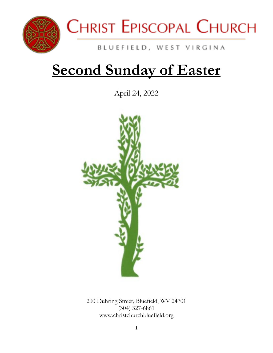



## BLUEFIELD, WEST VIRGINA

# **Second Sunday of Easter**

April 24, 2022



200 Duhring Street, Bluefield, WV 24701 (304) 327-6861 www.christchurchbluefield.org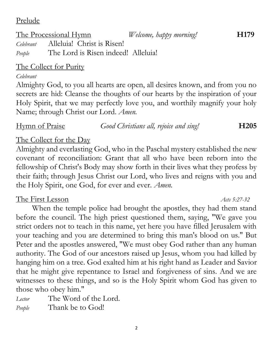2

Prelude

## The Processional Hymn *Welcome, happy morning!* **H179**

*Celebrant* Alleluia! Christ is Risen! *People* The Lord is Risen indeed! Alleluia!

## The Collect for Purity

### *Celebrant*

Almighty God, to you all hearts are open, all desires known, and from you no secrets are hid: Cleanse the thoughts of our hearts by the inspiration of your Holy Spirit, that we may perfectly love you, and worthily magnify your holy Name; through Christ our Lord. *Amen.*

# The Collect for the Day

Almighty and everlasting God, who in the Paschal mystery established the new covenant of reconciliation: Grant that all who have been reborn into the fellowship of Christ's Body may show forth in their lives what they profess by their faith; through Jesus Christ our Lord, who lives and reigns with you and the Holy Spirit, one God, for ever and ever. *Amen.*

## The First Lesson *Acts 5:27-32*

When the temple police had brought the apostles, they had them stand before the council. The high priest questioned them, saying, "We gave you strict orders not to teach in this name, yet here you have filled Jerusalem with your teaching and you are determined to bring this man's blood on us." But Peter and the apostles answered, "We must obey God rather than any human authority. The God of our ancestors raised up Jesus, whom you had killed by hanging him on a tree. God exalted him at his right hand as Leader and Savior that he might give repentance to Israel and forgiveness of sins. And we are witnesses to these things, and so is the Holy Spirit whom God has given to those who obey him."

*Lector* The Word of the Lord.

*People* Thank be to God!

## Hymn of Praise *Good Christians all, rejoice and sing!* **H205**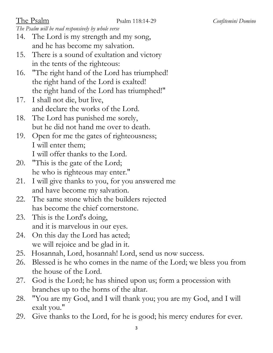*The Psalm will be read responsively by whole verse*

- 14. The Lord is my strength and my song, and he has become my salvation.
- 15. There is a sound of exultation and victory in the tents of the righteous:
- 16. "The right hand of the Lord has triumphed! the right hand of the Lord is exalted! the right hand of the Lord has triumphed!"
- 17. I shall not die, but live, and declare the works of the Lord.
- 18. The Lord has punished me sorely, but he did not hand me over to death.
- 19. Open for me the gates of righteousness; I will enter them; I will offer thanks to the Lord.
- 20. "This is the gate of the Lord; he who is righteous may enter."
- 21. I will give thanks to you, for you answered me and have become my salvation.
- 22. The same stone which the builders rejected has become the chief cornerstone.
- 23. This is the Lord's doing, and it is marvelous in our eyes.
- 24. On this day the Lord has acted; we will rejoice and be glad in it.
- 25. Hosannah, Lord, hosannah! Lord, send us now success.
- 26. Blessed is he who comes in the name of the Lord; we bless you from the house of the Lord.
- 27. God is the Lord; he has shined upon us; form a procession with branches up to the horns of the altar.
- 28. "You are my God, and I will thank you; you are my God, and I will exalt you."
- 29. Give thanks to the Lord, for he is good; his mercy endures for ever.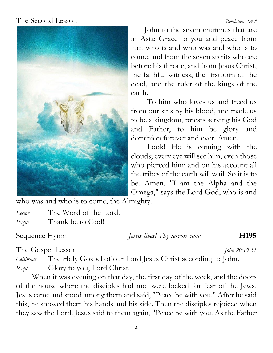## The Second Lesson*Revelation 1:4-8*



John to the seven churches that are in Asia: Grace to you and peace from him who is and who was and who is to come, and from the seven spirits who are before his throne, and from Jesus Christ, the faithful witness, the firstborn of the dead, and the ruler of the kings of the earth.

To him who loves us and freed us from our sins by his blood, and made us to be a kingdom, priests serving his God and Father, to him be glory and dominion forever and ever. Amen.

Look! He is coming with the clouds; every eye will see him, even those who pierced him; and on his account all the tribes of the earth will wail. So it is to be. Amen. "I am the Alpha and the Omega," says the Lord God, who is and

who was and who is to come, the Almighty.

*Lector* The Word of the Lord. *People* Thank be to God!

Sequence Hymn *Jesus lives! Thy terrors now* **H195**

### The Gospel Lesson *John 20:19-31*

*Celebrant* The Holy Gospel of our Lord Jesus Christ according to John. *People* Glory to you, Lord Christ.

When it was evening on that day, the first day of the week, and the doors of the house where the disciples had met were locked for fear of the Jews, Jesus came and stood among them and said, "Peace be with you." After he said this, he showed them his hands and his side. Then the disciples rejoiced when they saw the Lord. Jesus said to them again, "Peace be with you. As the Father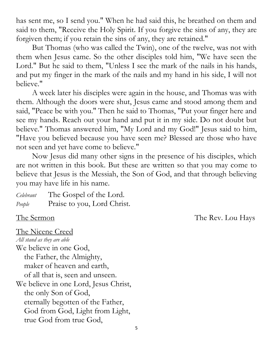has sent me, so I send you." When he had said this, he breathed on them and said to them, "Receive the Holy Spirit. If you forgive the sins of any, they are forgiven them; if you retain the sins of any, they are retained."

But Thomas (who was called the Twin), one of the twelve, was not with them when Jesus came. So the other disciples told him, "We have seen the Lord." But he said to them, "Unless I see the mark of the nails in his hands, and put my finger in the mark of the nails and my hand in his side, I will not believe."

A week later his disciples were again in the house, and Thomas was with them. Although the doors were shut, Jesus came and stood among them and said, "Peace be with you." Then he said to Thomas, "Put your finger here and see my hands. Reach out your hand and put it in my side. Do not doubt but believe." Thomas answered him, "My Lord and my God!" Jesus said to him, "Have you believed because you have seen me? Blessed are those who have not seen and yet have come to believe."

Now Jesus did many other signs in the presence of his disciples, which are not written in this book. But these are written so that you may come to believe that Jesus is the Messiah, the Son of God, and that through believing you may have life in his name.

*Celebrant* The Gospel of the Lord. *People* Praise to you, Lord Christ.

The Sermon The Rev. Lou Hays

The Nicene Creed

*All stand as they are able*  We believe in one God, the Father, the Almighty, maker of heaven and earth, of all that is, seen and unseen. We believe in one Lord, Jesus Christ, the only Son of God, eternally begotten of the Father, God from God, Light from Light, true God from true God,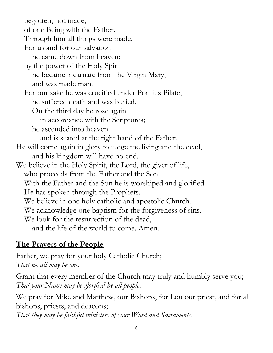begotten, not made, of one Being with the Father. Through him all things were made. For us and for our salvation he came down from heaven: by the power of the Holy Spirit he became incarnate from the Virgin Mary, and was made man. For our sake he was crucified under Pontius Pilate; he suffered death and was buried. On the third day he rose again in accordance with the Scriptures; he ascended into heaven and is seated at the right hand of the Father. He will come again in glory to judge the living and the dead, and his kingdom will have no end. We believe in the Holy Spirit, the Lord, the giver of life, who proceeds from the Father and the Son. With the Father and the Son he is worshiped and glorified. He has spoken through the Prophets. We believe in one holy catholic and apostolic Church. We acknowledge one baptism for the forgiveness of sins. We look for the resurrection of the dead, and the life of the world to come. Amen.

## **The Prayers of the People**

Father, we pray for your holy Catholic Church; *That we all may be one.*

Grant that every member of the Church may truly and humbly serve you; *That your Name may be glorified by all people.*

We pray for Mike and Matthew, our Bishops, for Lou our priest, and for all bishops, priests, and deacons;

*That they may be faithful ministers of your Word and Sacraments.*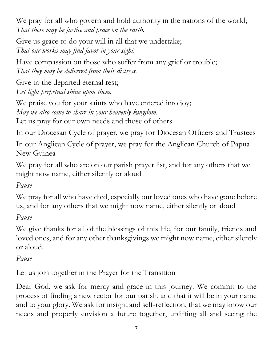We pray for all who govern and hold authority in the nations of the world; *That there may be justice and peace on the earth.*

Give us grace to do your will in all that we undertake; *That our works may find favor in your sight.*

Have compassion on those who suffer from any grief or trouble; *That they may be delivered from their distress.*

Give to the departed eternal rest; *Let light perpetual shine upon them.*

We praise you for your saints who have entered into joy; *May we also come to share in your heavenly kingdom.*

Let us pray for our own needs and those of others.

In our Diocesan Cycle of prayer, we pray for Diocesan Officers and Trustees

In our Anglican Cycle of prayer, we pray for the Anglican Church of Papua New Guinea

We pray for all who are on our parish prayer list, and for any others that we might now name, either silently or aloud

*Pause*

We pray for all who have died, especially our loved ones who have gone before us, and for any others that we might now name, either silently or aloud

*Pause*

We give thanks for all of the blessings of this life, for our family, friends and loved ones, and for any other thanksgivings we might now name, either silently or aloud.

## *Pause*

Let us join together in the Prayer for the Transition

Dear God, we ask for mercy and grace in this journey. We commit to the process of finding a new rector for our parish, and that it will be in your name and to your glory. We ask for insight and self-reflection, that we may know our needs and properly envision a future together, uplifting all and seeing the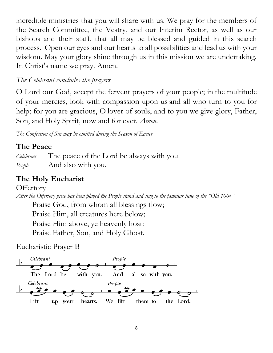incredible ministries that you will share with us. We pray for the members of the Search Committee, the Vestry, and our Interim Rector, as well as our bishops and their staff, that all may be blessed and guided in this search process. Open our eyes and our hearts to all possibilities and lead us with your wisdom. May your glory shine through us in this mission we are undertaking. In Christ's name we pray. Amen.

## *The Celebrant concludes the prayers*

O Lord our God, accept the fervent prayers of your people; in the multitude of your mercies, look with compassion upon us and all who turn to you for help; for you are gracious, O lover of souls, and to you we give glory, Father, Son, and Holy Spirit, now and for ever. *Amen.*

*The Confession of Sin may be omitted during the Season of Easter*

## **The Peace**

*Celebrant* The peace of the Lord be always with you. *People* And also with you.

## **The Holy Eucharist**

### **Offertory**

*After the Offertory piece has been played the People stand and sing to the familiar tune of the "Old 100th"* Praise God, from whom all blessings flow; Praise Him, all creatures here below; Praise Him above, ye heavenly host:

Praise Father, Son, and Holy Ghost.

## Eucharistic Prayer B

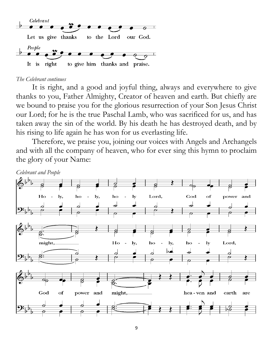

#### *The Celebrant continues*

It is right, and a good and joyful thing, always and everywhere to give thanks to you, Father Almighty, Creator of heaven and earth. But chiefly are we bound to praise you for the glorious resurrection of your Son Jesus Christ our Lord; for he is the true Paschal Lamb, who was sacrificed for us, and has taken away the sin of the world. By his death he has destroyed death, and by his rising to life again he has won for us everlasting life.

Therefore, we praise you, joining our voices with Angels and Archangels and with all the company of heaven, who for ever sing this hymn to proclaim the glory of your Name:

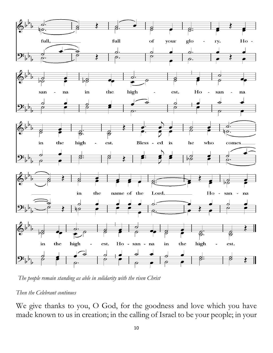

*The people remain standing as able in solidarity with the risen Christ*

#### *Then the Celebrant continues*

We give thanks to you, O God, for the goodness and love which you have made known to us in creation; in the calling of Israel to be your people; in your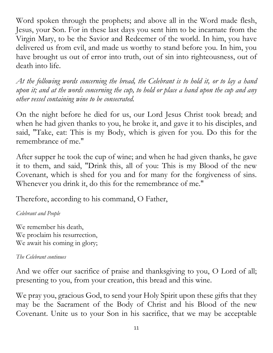Word spoken through the prophets; and above all in the Word made flesh, Jesus, your Son. For in these last days you sent him to be incarnate from the Virgin Mary, to be the Savior and Redeemer of the world. In him, you have delivered us from evil, and made us worthy to stand before you. In him, you have brought us out of error into truth, out of sin into righteousness, out of death into life.

*At the following words concerning the bread, the Celebrant is to hold it, or to lay a hand upon it; and at the words concerning the cup, to hold or place a hand upon the cup and any other vessel containing wine to be consecrated.*

On the night before he died for us, our Lord Jesus Christ took bread; and when he had given thanks to you, he broke it, and gave it to his disciples, and said, "Take, eat: This is my Body, which is given for you. Do this for the remembrance of me."

After supper he took the cup of wine; and when he had given thanks, he gave it to them, and said, "Drink this, all of you: This is my Blood of the new Covenant, which is shed for you and for many for the forgiveness of sins. Whenever you drink it, do this for the remembrance of me."

Therefore, according to his command, O Father,

### *Celebrant and People*

We remember his death, We proclaim his resurrection, We await his coming in glory;

### *The Celebrant continues*

And we offer our sacrifice of praise and thanksgiving to you, O Lord of all; presenting to you, from your creation, this bread and this wine.

We pray you, gracious God, to send your Holy Spirit upon these gifts that they may be the Sacrament of the Body of Christ and his Blood of the new Covenant. Unite us to your Son in his sacrifice, that we may be acceptable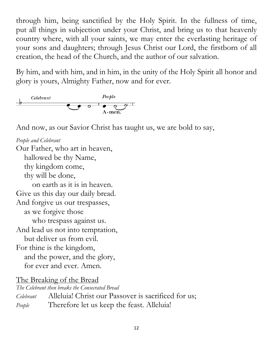through him, being sanctified by the Holy Spirit. In the fullness of time, put all things in subjection under your Christ, and bring us to that heavenly country where, with all your saints, we may enter the everlasting heritage of your sons and daughters; through Jesus Christ our Lord, the firstborn of all creation, the head of the Church, and the author of our salvation.

By him, and with him, and in him, in the unity of the Holy Spirit all honor and glory is yours, Almighty Father, now and for ever.



And now, as our Savior Christ has taught us, we are bold to say,

*People and Celebrant* Our Father, who art in heaven, hallowed be thy Name, thy kingdom come, thy will be done, on earth as it is in heaven. Give us this day our daily bread. And forgive us our trespasses, as we forgive those who trespass against us. And lead us not into temptation, but deliver us from evil. For thine is the kingdom, and the power, and the glory, for ever and ever. Amen.

The Breaking of the Bread

*The Celebrant then breaks the Consecrated Bread Celebrant* Alleluia! Christ our Passover is sacrificed for us; *People* Therefore let us keep the feast. Alleluia!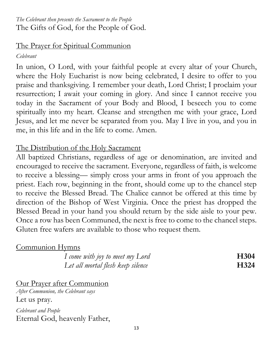### *The Celebrant then presents the Sacrament to the People* The Gifts of God, for the People of God.

### The Prayer for Spiritual Communion

#### *Celebrant*

In union, O Lord, with your faithful people at every altar of your Church, where the Holy Eucharist is now being celebrated, I desire to offer to you praise and thanksgiving. I remember your death, Lord Christ; I proclaim your resurrection; I await your coming in glory. And since I cannot receive you today in the Sacrament of your Body and Blood, I beseech you to come spiritually into my heart. Cleanse and strengthen me with your grace, Lord Jesus, and let me never be separated from you. May I live in you, and you in me, in this life and in the life to come. Amen.

## The Distribution of the Holy Sacrament

All baptized Christians, regardless of age or denomination, are invited and encouraged to receive the sacrament. Everyone, regardless of faith, is welcome to receive a blessing— simply cross your arms in front of you approach the priest. Each row, beginning in the front, should come up to the chancel step to receive the Blessed Bread. The Chalice cannot be offered at this time by direction of the Bishop of West Virginia. Once the priest has dropped the Blessed Bread in your hand you should return by the side aisle to your pew. Once a row has been Communed, the next is free to come to the chancel steps. Gluten free wafers are available to those who request them.

## Communion Hymns

| I come with joy to meet my Lord   | <b>H304</b> |
|-----------------------------------|-------------|
| Let all mortal flesh keep silence | H324        |

Our Prayer after Communion

*After Communion, the Celebrant says* Let us pray.

*Celebrant and People* Eternal God, heavenly Father,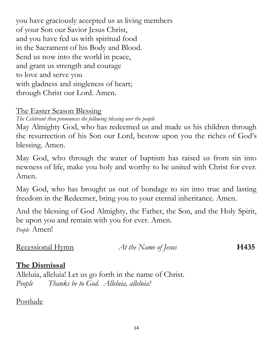you have graciously accepted us as living members of your Son our Savior Jesus Christ, and you have fed us with spiritual food in the Sacrament of his Body and Blood. Send us now into the world in peace, and grant us strength and courage to love and serve you with gladness and singleness of heart; through Christ our Lord. Amen.

#### The Easter Season Blessing

*The Celebrant then pronounces the following blessing over the people*

May Almighty God, who has redeemed us and made us his children through the resurrection of his Son our Lord, bestow upon you the riches of God's blessing. Amen.

May God, who through the water of baptism has raised us from sin into newness of life, make you holy and worthy to be united with Christ for ever. Amen.

May God, who has brought us out of bondage to sin into true and lasting freedom in the Redeemer, bring you to your eternal inheritance. Amen.

And the blessing of God Almighty, the Father, the Son, and the Holy Spirit, be upon you and remain with you for ever. Amen. *People* Amen!

Recessional Hymn *At the Name of Jesus* **H435**

## **The Dismissal**

Alleluia, alleluia! Let us go forth in the name of Christ. *People Thanks be to God. Alleluia, alleluia!*

## Postlude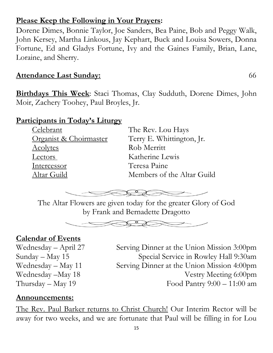## **Please Keep the Following in Your Prayers:**

Dorene Dimes, Bonnie Taylor, Joe Sanders, Bea Paine, Bob and Peggy Walk, John Kersey, Martha Linkous, Jay Kephart, Buck and Louisa Sowers, Donna Fortune, Ed and Gladys Fortune, Ivy and the Gaines Family, Brian, Lane, Loraine, and Sherry.

## **Attendance Last Sunday:** 66

**Birthdays This Week**: Staci Thomas, Clay Sudduth, Dorene Dimes, John Moir, Zachery Toohey, Paul Broyles, Jr.

## **Participants in Today's Liturgy**

Celebrant The Rev. Lou Hays Acolytes Rob Merritt Lectors Katherine Lewis Intercessor Teresa Paine

Organist & Choirmaster Terry E. Whittington, Jr. Altar Guild Members of the Altar Guild



The Altar Flowers are given today for the greater Glory of God by Frank and Bernadette Dragotto



## **Calendar of Events**

Wednesday – April 27 Serving Dinner at the Union Mission 3:00pm Sunday – May 15 Special Service in Rowley Hall 9:30am Wednesday – May 11 Serving Dinner at the Union Mission 4:00pm Wednesday –May 18 Vestry Meeting 6:00pm  $Thursday - May 19$  Food Pantry  $9:00 - 11:00$  am

## **Announcements:**

The Rev. Paul Barker returns to Christ Church! Our Interim Rector will be away for two weeks, and we are fortunate that Paul will be filling in for Lou